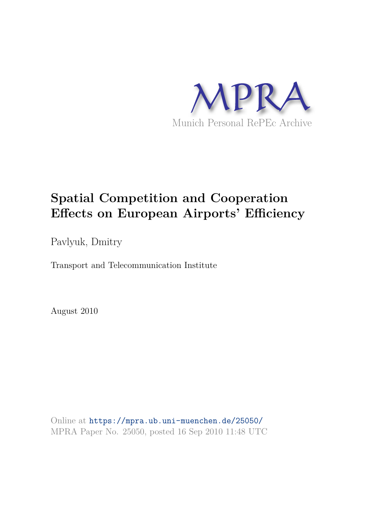

# **Spatial Competition and Cooperation Effects on European Airports' Efficiency**

Pavlyuk, Dmitry

Transport and Telecommunication Institute

August 2010

Online at https://mpra.ub.uni-muenchen.de/25050/ MPRA Paper No. 25050, posted 16 Sep 2010 11:48 UTC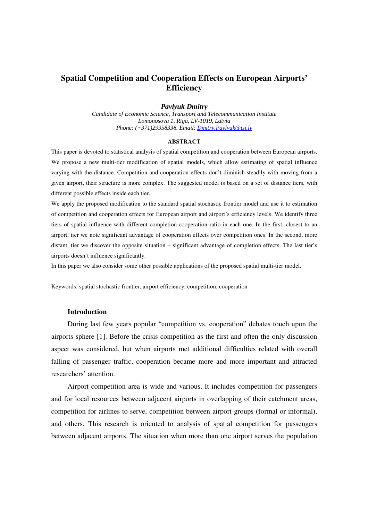## **Spatial Competition and Cooperation Effects on European Airports' Efficiency**

### *Pavlyuk Dmitry*

*Candidate of Economic Science, Transport and Telecommunication Institute Lomonosova 1, Riga, LV-1019, Latvia Phone: (+371)29958338. Email: Dmitry.Pavlyuk@tsi.lv*

#### **ABSTRACT**

This paper is devoted to statistical analysis of spatial competition and cooperation between European airports. We propose a new multi-tier modification of spatial models, which allow estimating of spatial influence varying with the distance. Competition and cooperation effects don't diminish steadily with moving from a given airport, their structure is more complex. The suggested model is based on a set of distance tiers, with different possible effects inside each tier.

We apply the proposed modification to the standard spatial stochastic frontier model and use it to estimation of competition and cooperation effects for European airport and airport's efficiency levels. We identify three tiers of spatial influence with different completion-cooperation ratio in each one. In the first, closest to an airport, tier we note significant advantage of cooperation effects over competition ones. In the second, more distant, tier we discover the opposite situation – significant advantage of completion effects. The last tier's airports doesn't influence significantly.

In this paper we also consider some other possible applications of the proposed spatial multi-tier model.

Keywords: spatial stochastic frontier, airport efficiency, competition, cooperation

#### **Introduction**

During last few years popular "competition vs. cooperation" debates touch upon the airports sphere [1]. Before the crisis competition as the first and often the only discussion aspect was considered, but when airports met additional difficulties related with overall falling of passenger traffic, cooperation became more and more important and attracted researchers' attention.

Airport competition area is wide and various. It includes competition for passengers and for local resources between adjacent airports in overlapping of their catchment areas, competition for airlines to serve, competition between airport groups (formal or informal), and others. This research is oriented to analysis of spatial competition for passengers between adjacent airports. The situation when more than one airport serves the population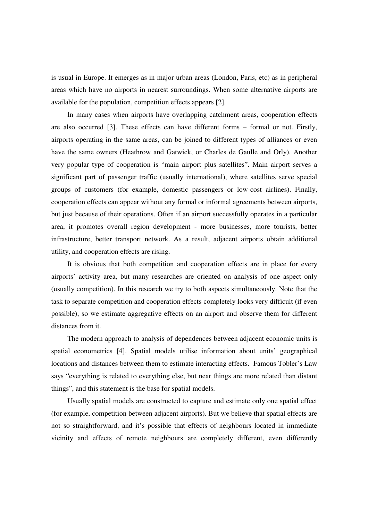is usual in Europe. It emerges as in major urban areas (London, Paris, etc) as in peripheral areas which have no airports in nearest surroundings. When some alternative airports are available for the population, competition effects appears [2].

In many cases when airports have overlapping catchment areas, cooperation effects are also occurred [3]. These effects can have different forms – formal or not. Firstly, airports operating in the same areas, can be joined to different types of alliances or even have the same owners (Heathrow and Gatwick, or Charles de Gaulle and Orly). Another very popular type of cooperation is "main airport plus satellites". Main airport serves a significant part of passenger traffic (usually international), where satellites serve special groups of customers (for example, domestic passengers or low-cost airlines). Finally, cooperation effects can appear without any formal or informal agreements between airports, but just because of their operations. Often if an airport successfully operates in a particular area, it promotes overall region development - more businesses, more tourists, better infrastructure, better transport network. As a result, adjacent airports obtain additional utility, and cooperation effects are rising.

It is obvious that both competition and cooperation effects are in place for every airports' activity area, but many researches are oriented on analysis of one aspect only (usually competition). In this research we try to both aspects simultaneously. Note that the task to separate competition and cooperation effects completely looks very difficult (if even possible), so we estimate aggregative effects on an airport and observe them for different distances from it.

The modern approach to analysis of dependences between adjacent economic units is spatial econometrics [4]. Spatial models utilise information about units' geographical locations and distances between them to estimate interacting effects. Famous Tobler's Law says "everything is related to everything else, but near things are more related than distant things", and this statement is the base for spatial models.

Usually spatial models are constructed to capture and estimate only one spatial effect (for example, competition between adjacent airports). But we believe that spatial effects are not so straightforward, and it's possible that effects of neighbours located in immediate vicinity and effects of remote neighbours are completely different, even differently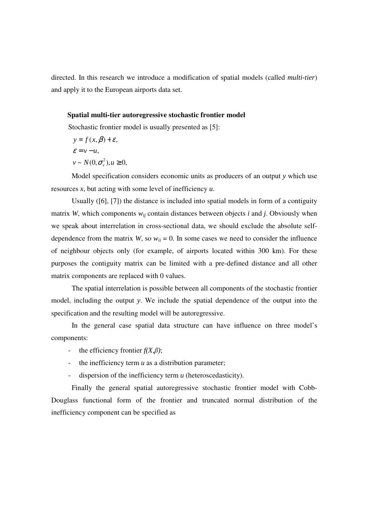directed. In this research we introduce a modification of spatial models (called *multi-tier*) and apply it to the European airports data set.

#### **Spatial multi-tier autoregressive stochastic frontier model**

Stochastic frontier model is usually presented as [5]:

$$
y = f(x, \beta) + \varepsilon,
$$
  
\n
$$
\varepsilon = v - u,
$$
  
\n
$$
v \sim N(0, \sigma_v^2), u \ge 0,
$$

Model specification considers economic units as producers of an output *y* which use resources *x*, but acting with some level of inefficiency *u*.

Usually ([6], [7]) the distance is included into spatial models in form of a contiguity matrix *W*, which components  $w_{ij}$  contain distances between objects *i* and *j*. Obviously when we speak about interrelation in cross-sectional data, we should exclude the absolute selfdependence from the matrix *W*, so  $w_{ii} = 0$ . In some cases we need to consider the influence of neighbour objects only (for example, of airports located within 300 km). For these purposes the contiguity matrix can be limited with a pre-defined distance and all other matrix components are replaced with 0 values.

The spatial interrelation is possible between all components of the stochastic frontier model, including the output *y*. We include the spatial dependence of the output into the specification and the resulting model will be autoregressive.

In the general case spatial data structure can have influence on three model's components:

- the efficiency frontier  $f(X,\beta)$ ;
- the inefficiency term *u* as a distribution parameter;
- dispersion of the inefficiency term *u* (heteroscedasticity).

Finally the general spatial autoregressive stochastic frontier model with Cobb-Douglass functional form of the frontier and truncated normal distribution of the inefficiency component can be specified as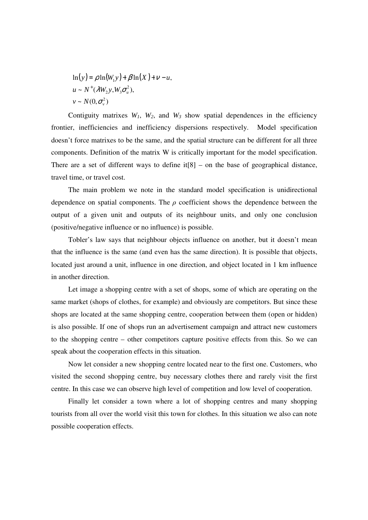$$
\ln(y) = \rho \ln(W_1 y) + \beta \ln(X) + \nu - u,
$$
  
 
$$
u \sim N^+ (\lambda W_2 y, W_3 \sigma_u^2),
$$
  
 
$$
v \sim N(0, \sigma_v^2)
$$

Contiguity matrixes  $W_1$ ,  $W_2$ , and  $W_3$  show spatial dependences in the efficiency frontier, inefficiencies and inefficiency dispersions respectively. Model specification doesn't force matrixes to be the same, and the spatial structure can be different for all three components. Definition of the matrix W is critically important for the model specification. There are a set of different ways to define  $it[8]$  – on the base of geographical distance, travel time, or travel cost.

The main problem we note in the standard model specification is unidirectional dependence on spatial components. The  $\rho$  coefficient shows the dependence between the output of a given unit and outputs of its neighbour units, and only one conclusion (positive/negative influence or no influence) is possible.

Tobler's law says that neighbour objects influence on another, but it doesn't mean that the influence is the same (and even has the same direction). It is possible that objects, located just around a unit, influence in one direction, and object located in 1 km influence in another direction.

Let image a shopping centre with a set of shops, some of which are operating on the same market (shops of clothes, for example) and obviously are competitors. But since these shops are located at the same shopping centre, cooperation between them (open or hidden) is also possible. If one of shops run an advertisement campaign and attract new customers to the shopping centre – other competitors capture positive effects from this. So we can speak about the cooperation effects in this situation.

Now let consider a new shopping centre located near to the first one. Customers, who visited the second shopping centre, buy necessary clothes there and rarely visit the first centre. In this case we can observe high level of competition and low level of cooperation.

Finally let consider a town where a lot of shopping centres and many shopping tourists from all over the world visit this town for clothes. In this situation we also can note possible cooperation effects.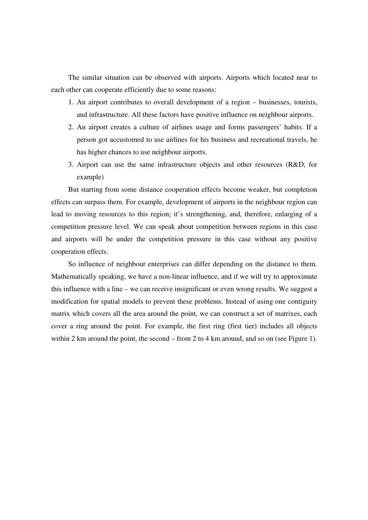The similar situation can be observed with airports. Airports which located near to each other can cooperate efficiently due to some reasons:

- 1. An airport contributes to overall development of a region businesses, tourists, and infrastructure. All these factors have positive influence on neighbour airports.
- 2. An airport creates a culture of airlines usage and forms passengers' habits. If a person got accustomed to use airlines for his business and recreational travels, he has higher chances to use neighbour airports.
- 3. Airport can use the same infrastructure objects and other resources (R&D, for example)

But starting from some distance cooperation effects become weaker, but completion effects can surpass them. For example, development of airports in the neighbour region can lead to moving resources to this region; it's strengthening, and, therefore, enlarging of a competition pressure level. We can speak about competition between regions in this case and airports will be under the competition pressure in this case without any positive cooperation effects.

So influence of neighbour enterprises can differ depending on the distance to them. Mathematically speaking, we have a non-linear influence, and if we will try to approximate this influence with a line – we can receive insignificant or even wrong results. We suggest a modification for spatial models to prevent these problems. Instead of using one contiguity matrix which covers all the area around the point, we can construct a set of matrixes, each cover a ring around the point. For example, the first ring (first tier) includes all objects within 2 km around the point, the second – from 2 to 4 km around, and so on (see Figure 1).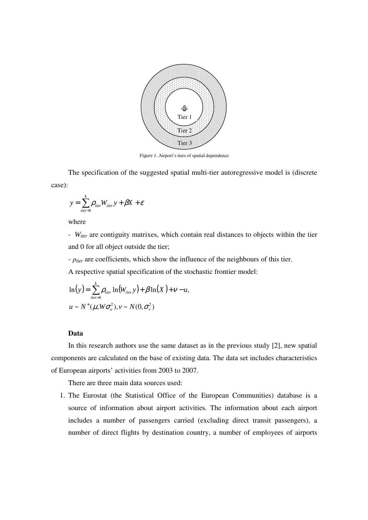

*Figure 1*. Airport's tiers of spatial dependence

The specification of the suggested spatial multi-tier autoregressive model is (discrete case):

$$
y = \sum_{tier=1}^{k} \rho_{tier} W_{tier} y + \beta X + \varepsilon
$$

where

- *Wtier* are contiguity matrixes, which contain real distances to objects within the tier and 0 for all object outside the tier;

- ρ*tier* are coefficients, which show the influence of the neighbours of this tier.

A respective spatial specification of the stochastic frontier model:

$$
\ln(y) = \sum_{\text{tier}=1}^{k} \rho_{\text{rier}} \ln(W_{\text{tier}} y) + \beta \ln(X) + \nu - u,
$$
  

$$
u \sim N^+(\mu, W\sigma_u^2), v \sim N(0, \sigma_v^2)
$$

#### **Data**

In this research authors use the same dataset as in the previous study [2], new spatial components are calculated on the base of existing data. The data set includes characteristics of European airports' activities from 2003 to 2007.

There are three main data sources used:

1. The Eurostat (the Statistical Office of the European Communities) database is a source of information about airport activities. The information about each airport includes a number of passengers carried (excluding direct transit passengers), a number of direct flights by destination country, a number of employees of airports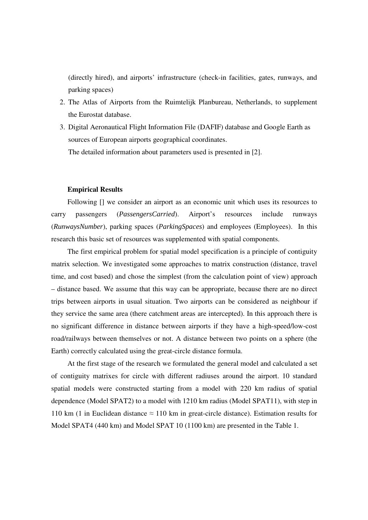(directly hired), and airports' infrastructure (check-in facilities, gates, runways, and parking spaces)

- 2. The Atlas of Airports from the Ruimtelijk Planbureau, Netherlands, to supplement the Eurostat database.
- 3. Digital Aeronautical Flight Information File (DAFIF) database and Google Earth as sources of European airports geographical coordinates. The detailed information about parameters used is presented in [2].

#### **Empirical Results**

Following [] we consider an airport as an economic unit which uses its resources to carry passengers (*PassengersCarried*). Airport's resources include runways (*RunwaysNumber*), parking spaces (*ParkingSpaces*) and employees (Employees). In this research this basic set of resources was supplemented with spatial components.

The first empirical problem for spatial model specification is a principle of contiguity matrix selection. We investigated some approaches to matrix construction (distance, travel time, and cost based) and chose the simplest (from the calculation point of view) approach – distance based. We assume that this way can be appropriate, because there are no direct trips between airports in usual situation. Two airports can be considered as neighbour if they service the same area (there catchment areas are intercepted). In this approach there is no significant difference in distance between airports if they have a high-speed/low-cost road/railways between themselves or not. A distance between two points on a sphere (the Earth) correctly calculated using the great-circle distance formula.

At the first stage of the research we formulated the general model and calculated a set of contiguity matrixes for circle with different radiuses around the airport. 10 standard spatial models were constructed starting from a model with 220 km radius of spatial dependence (Model SPAT2) to a model with 1210 km radius (Model SPAT11), with step in 110 km (1 in Euclidean distance  $\approx$  110 km in great-circle distance). Estimation results for Model SPAT4 (440 km) and Model SPAT 10 (1100 km) are presented in the Table 1.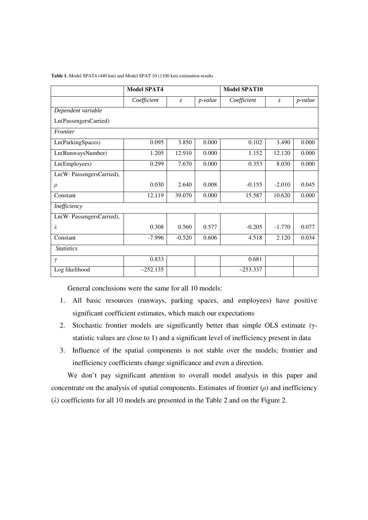|                           | <b>Model SPAT4</b> |                |            | <b>Model SPAT10</b> |                |           |  |
|---------------------------|--------------------|----------------|------------|---------------------|----------------|-----------|--|
|                           | Coefficient        | $\overline{z}$ | $p$ -value | Coefficient         | $\overline{z}$ | $p-value$ |  |
| Dependent variable        |                    |                |            |                     |                |           |  |
| Ln(PassengersCarried)     |                    |                |            |                     |                |           |  |
| Frontier                  |                    |                |            |                     |                |           |  |
| Ln(ParkingSpaces)         | 0.095              | 3.850          | 0.000      | 0.102               | 3.490          | 0.000     |  |
| Ln(RunwaysNumber)         | 1.205              | 12.910         | 0.000      | 1.152               | 12.120         | 0.000     |  |
| Ln(Employees)             | 0.299              | 7.670          | 0.000      | 0.353               | 8.030          | 0.000     |  |
| Ln(W· PassengersCarried), |                    |                |            |                     |                |           |  |
| $\rho$                    | 0.030              | 2.640          | 0.008      | $-0.155$            | $-2.010$       | 0.045     |  |
| Constant                  | 12.119             | 39.070         | 0.000      | 15.587              | 10.620         | 0.000     |  |
| Inefficiency              |                    |                |            |                     |                |           |  |
| Ln(W·PassengersCarried),  |                    |                |            |                     |                |           |  |
| λ                         | 0.308              | 0.560          | 0.577      | $-0.205$            | $-1.770$       | 0.077     |  |
| Constant                  | $-7.996$           | $-0.520$       | 0.606      | 4.518               | 2.120          | 0.034     |  |
| <b>Statistics</b>         |                    |                |            |                     |                |           |  |
| γ                         | 0.833              |                |            | 0.681               |                |           |  |
| Log likelihood            | $-252.135$         |                |            | $-253.337$          |                |           |  |

**Table 1.** Model SPAT4 (440 km) and Model SPAT 10 (1100 km) estimation results

General conclusions were the same for all 10 models:

- 1. All basic resources (runways, parking spaces, and employees) have positive significant coefficient estimates, which match our expectations
- 2. Stochastic frontier models are significantly better than simple OLS estimate (γstatistic values are close to 1) and a significant level of inefficiency present in data
- 3. Influence of the spatial components is not stable over the models; frontier and inefficiency coefficients change significance and even a direction.

We don't pay significant attention to overall model analysis in this paper and concentrate on the analysis of spatial components. Estimates of frontier  $(\rho)$  and inefficiency (λ) coefficients for all 10 models are presented in the Table 2 and on the Figure 2.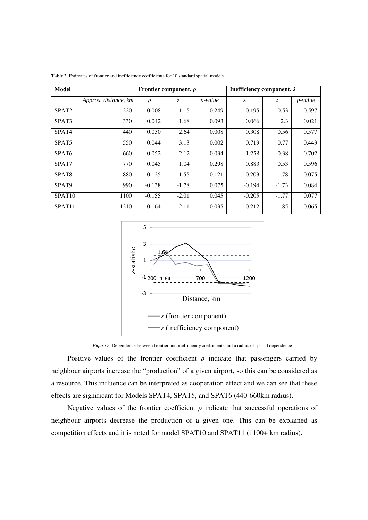| <b>Model</b>       |                      | Frontier component, $\rho$ |         |                 | Inefficiency component, $\lambda$ |         |                 |
|--------------------|----------------------|----------------------------|---------|-----------------|-----------------------------------|---------|-----------------|
|                    | Approx. distance, km | $\rho$                     | Z.      | <i>p</i> -value | λ                                 | Z.      | <i>p</i> -value |
| SPAT <sub>2</sub>  | 220                  | 0.008                      | 1.15    | 0.249           | 0.195                             | 0.53    | 0.597           |
| SPAT <sub>3</sub>  | 330                  | 0.042                      | 1.68    | 0.093           | 0.066                             | 2.3     | 0.021           |
| SPAT <sub>4</sub>  | 440                  | 0.030                      | 2.64    | 0.008           | 0.308                             | 0.56    | 0.577           |
| SPAT5              | 550                  | 0.044                      | 3.13    | 0.002           | 0.719                             | 0.77    | 0.443           |
| SPAT <sub>6</sub>  | 660                  | 0.052                      | 2.12    | 0.034           | 1.258                             | 0.38    | 0.702           |
| SPAT7              | 770                  | 0.045                      | 1.04    | 0.298           | 0.883                             | 0.53    | 0.596           |
| SPAT <sub>8</sub>  | 880                  | $-0.125$                   | $-1.55$ | 0.121           | $-0.203$                          | $-1.78$ | 0.075           |
| SPAT <sub>9</sub>  | 990                  | $-0.138$                   | $-1.78$ | 0.075           | $-0.194$                          | $-1.73$ | 0.084           |
| SPAT <sub>10</sub> | 1100                 | $-0.155$                   | $-2.01$ | 0.045           | $-0.205$                          | $-1.77$ | 0.077           |
| SPAT11             | 1210                 | $-0.164$                   | $-2.11$ | 0.035           | $-0.212$                          | $-1.85$ | 0.065           |

**Table 2.** Estimates of frontier and inefficiency coefficients for 10 standard spatial models



*Figure 2*. Dependence between frontier and inefficiency coefficients and a radius of spatial dependence

Positive values of the frontier coefficient  $\rho$  indicate that passengers carried by neighbour airports increase the "production" of a given airport, so this can be considered as a resource. This influence can be interpreted as cooperation effect and we can see that these effects are significant for Models SPAT4, SPAT5, and SPAT6 (440-660km radius).

Negative values of the frontier coefficient  $\rho$  indicate that successful operations of neighbour airports decrease the production of a given one. This can be explained as competition effects and it is noted for model SPAT10 and SPAT11 (1100+ km radius).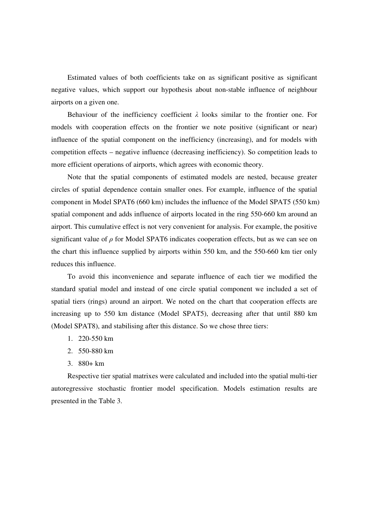Estimated values of both coefficients take on as significant positive as significant negative values, which support our hypothesis about non-stable influence of neighbour airports on a given one.

Behaviour of the inefficiency coefficient  $\lambda$  looks similar to the frontier one. For models with cooperation effects on the frontier we note positive (significant or near) influence of the spatial component on the inefficiency (increasing), and for models with competition effects – negative influence (decreasing inefficiency). So competition leads to more efficient operations of airports, which agrees with economic theory.

Note that the spatial components of estimated models are nested, because greater circles of spatial dependence contain smaller ones. For example, influence of the spatial component in Model SPAT6 (660 km) includes the influence of the Model SPAT5 (550 km) spatial component and adds influence of airports located in the ring 550-660 km around an airport. This cumulative effect is not very convenient for analysis. For example, the positive significant value of  $\rho$  for Model SPAT6 indicates cooperation effects, but as we can see on the chart this influence supplied by airports within 550 km, and the 550-660 km tier only reduces this influence.

To avoid this inconvenience and separate influence of each tier we modified the standard spatial model and instead of one circle spatial component we included a set of spatial tiers (rings) around an airport. We noted on the chart that cooperation effects are increasing up to 550 km distance (Model SPAT5), decreasing after that until 880 km (Model SPAT8), and stabilising after this distance. So we chose three tiers:

- 1. 220-550 km
- 2. 550-880 km
- 3. 880+ km

Respective tier spatial matrixes were calculated and included into the spatial multi-tier autoregressive stochastic frontier model specification. Models estimation results are presented in the Table 3.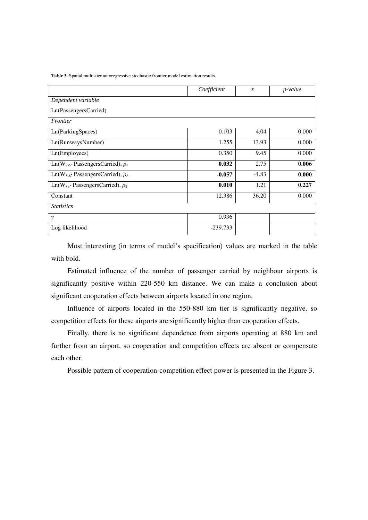**Table 3.** Spatial multi-tier autoregressive stochastic frontier model estimation results

|                                                    | Coefficient | Z.      | p-value |
|----------------------------------------------------|-------------|---------|---------|
| Dependent variable                                 |             |         |         |
| Ln(PassengersCarried)                              |             |         |         |
| Frontier                                           |             |         |         |
| Ln(ParkingSpaces)                                  | 0.103       | 4.04    | 0.000   |
| Ln(RunwaysNumber)                                  | 1.255       | 13.93   | 0.000   |
| Ln(Employees)                                      | 0.350       | 9.45    | 0.000   |
| Ln(W <sub>2-5</sub> · PassengersCarried), $\rho_1$ | 0.032       | 2.75    | 0.006   |
| Ln(W <sub>5-8</sub> · PassengersCarried), $\rho_2$ | $-0.057$    | $-4.83$ | 0.000   |
| $Ln(W_{8+}$ Passengers Carried), $\rho_3$          | 0.010       | 1.21    | 0.227   |
| Constant                                           | 12.386      | 36.20   | 0.000   |
| <b>Statistics</b>                                  |             |         |         |
| $\gamma$                                           | 0.936       |         |         |
| Log likelihood                                     | $-239.733$  |         |         |

Most interesting (in terms of model's specification) values are marked in the table with bold.

Estimated influence of the number of passenger carried by neighbour airports is significantly positive within 220-550 km distance. We can make a conclusion about significant cooperation effects between airports located in one region.

Influence of airports located in the 550-880 km tier is significantly negative, so competition effects for these airports are significantly higher than cooperation effects.

Finally, there is no significant dependence from airports operating at 880 km and further from an airport, so cooperation and competition effects are absent or compensate each other.

Possible pattern of cooperation-competition effect power is presented in the Figure 3.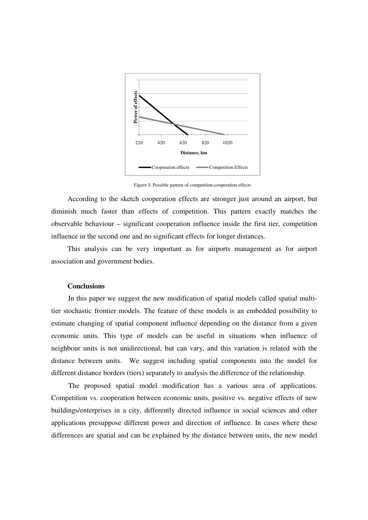

*Figure 3*. Possible pattern of competition-cooperation effects

According to the sketch cooperation effects are stronger just around an airport, but diminish much faster than effects of competition. This pattern exactly matches the observable behaviour – significant cooperation influence inside the first tier, competition influence in the second one and no significant effects for longer distances.

This analysis can be very important as for airports management as for airport association and government bodies.

#### **Conclusions**

In this paper we suggest the new modification of spatial models called spatial multitier stochastic frontier models. The feature of these models is an embedded possibility to estimate changing of spatial component influence depending on the distance from a given economic units. This type of models can be useful in situations when influence of neighbour units is not unidirectional, but can vary, and this variation is related with the distance between units. We suggest including spatial components into the model for different distance borders (tiers) separately to analysis the difference of the relationship.

The proposed spatial model modification has a various area of applications. Competition vs. cooperation between economic units, positive vs. negative effects of new buildings/enterprises in a city, differently directed influence in social sciences and other applications presuppose different power and direction of influence. In cases where these differences are spatial and can be explained by the distance between units, the new model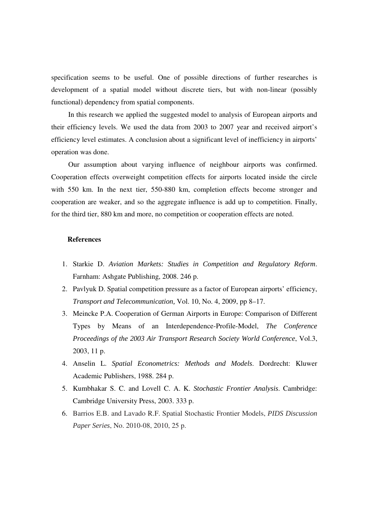specification seems to be useful. One of possible directions of further researches is development of a spatial model without discrete tiers, but with non-linear (possibly functional) dependency from spatial components.

In this research we applied the suggested model to analysis of European airports and their efficiency levels. We used the data from 2003 to 2007 year and received airport's efficiency level estimates. A conclusion about a significant level of inefficiency in airports' operation was done.

Our assumption about varying influence of neighbour airports was confirmed. Cooperation effects overweight competition effects for airports located inside the circle with 550 km. In the next tier, 550-880 km, completion effects become stronger and cooperation are weaker, and so the aggregate influence is add up to competition. Finally, for the third tier, 880 km and more, no competition or cooperation effects are noted.

#### **References**

- 1. Starkie D. *Aviation Markets: Studies in Competition and Regulatory Reform*. Farnham: Ashgate Publishing, 2008. 246 p.
- 2. Pavlyuk D. Spatial competition pressure as a factor of European airports' efficiency, *Transport and Telecommunication,* Vol. 10, No. 4, 2009, pp 8–17.
- 3. Meincke P.A. Cooperation of German Airports in Europe: Comparison of Different Types by Means of an Interdependence-Profile-Model, *The Conference Proceedings of the 2003 Air Transport Research Society World Conference*, Vol.3, 2003, 11 p.
- 4. Anselin L. *Spatial Econometrics: Methods and Models*. Dordrecht: Kluwer Academic Publishers, 1988. 284 p.
- 5. Kumbhakar S. C. and Lovell C. A. K. *Stochastic Frontier Analysis*. Cambridge: Cambridge University Press, 2003. 333 p.
- 6. Barrios E.B. and Lavado R.F. Spatial Stochastic Frontier Models, *PIDS Discussion Paper Series*, No. 2010-08, 2010, 25 p.